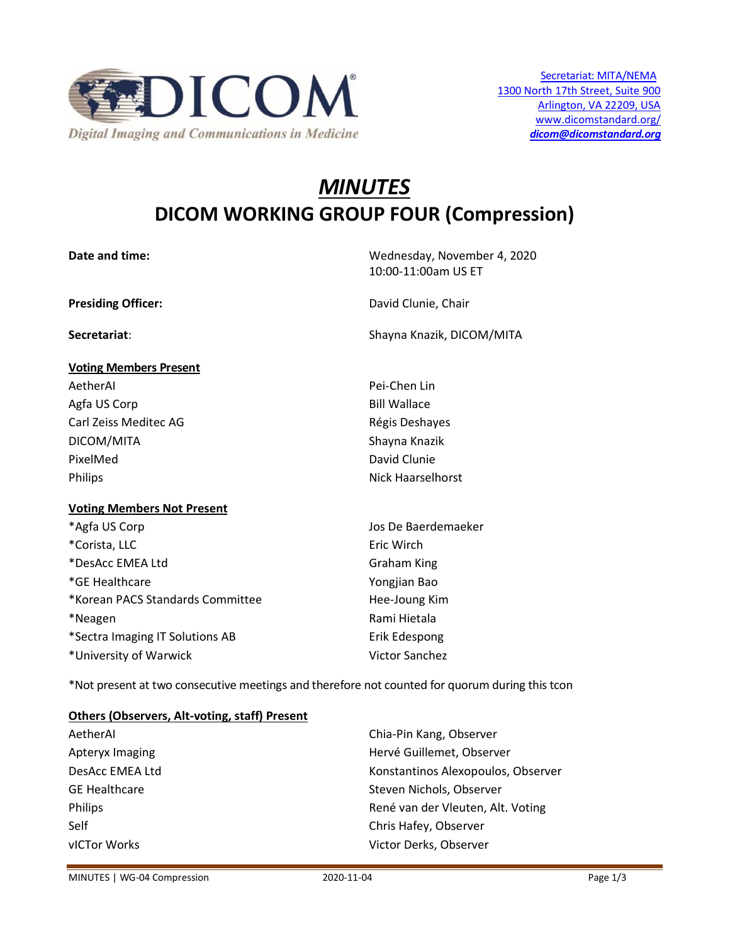

# *MINUTES* **DICOM WORKING GROUP FOUR (Compression)**

| Date and time:                    | Wednesday, November 4, 2020<br>10:00-11:00am US ET |
|-----------------------------------|----------------------------------------------------|
| <b>Presiding Officer:</b>         | David Clunie, Chair                                |
| Secretariat:                      | Shayna Knazik, DICOM/MITA                          |
| <b>Voting Members Present</b>     |                                                    |
| AetherAl                          | Pei-Chen Lin                                       |
| Agfa US Corp                      | <b>Bill Wallace</b>                                |
| Carl Zeiss Meditec AG             | Régis Deshayes                                     |
| DICOM/MITA                        | Shayna Knazik                                      |
| PixelMed                          | David Clunie                                       |
| Philips                           | <b>Nick Haarselhorst</b>                           |
| <b>Voting Members Not Present</b> |                                                    |
| *Agfa US Corp                     | Jos De Baerdemaeker                                |
| *Corista, LLC                     | Eric Wirch                                         |
| *DesAcc EMEA Ltd                  | <b>Graham King</b>                                 |
| *GE Healthcare                    | Yongjian Bao                                       |
| *Korean PACS Standards Committee  | Hee-Joung Kim                                      |
| *Neagen                           | Rami Hietala                                       |
| *Sectra Imaging IT Solutions AB   | Erik Edespong                                      |
| *University of Warwick            | <b>Victor Sanchez</b>                              |

\*Not present at two consecutive meetings and therefore not counted for quorum during this tcon

## **Others (Observers, Alt-voting, staff) Present**

| AetherAl             | Chia-Pin Kang, Observer            |
|----------------------|------------------------------------|
| Apteryx Imaging      | Hervé Guillemet, Observer          |
| DesAcc EMEA Ltd      | Konstantinos Alexopoulos, Observer |
| <b>GE Healthcare</b> | Steven Nichols, Observer           |
| Philips              | René van der Vleuten, Alt. Voting  |
| Self                 | Chris Hafey, Observer              |
| vICTor Works         | Victor Derks, Observer             |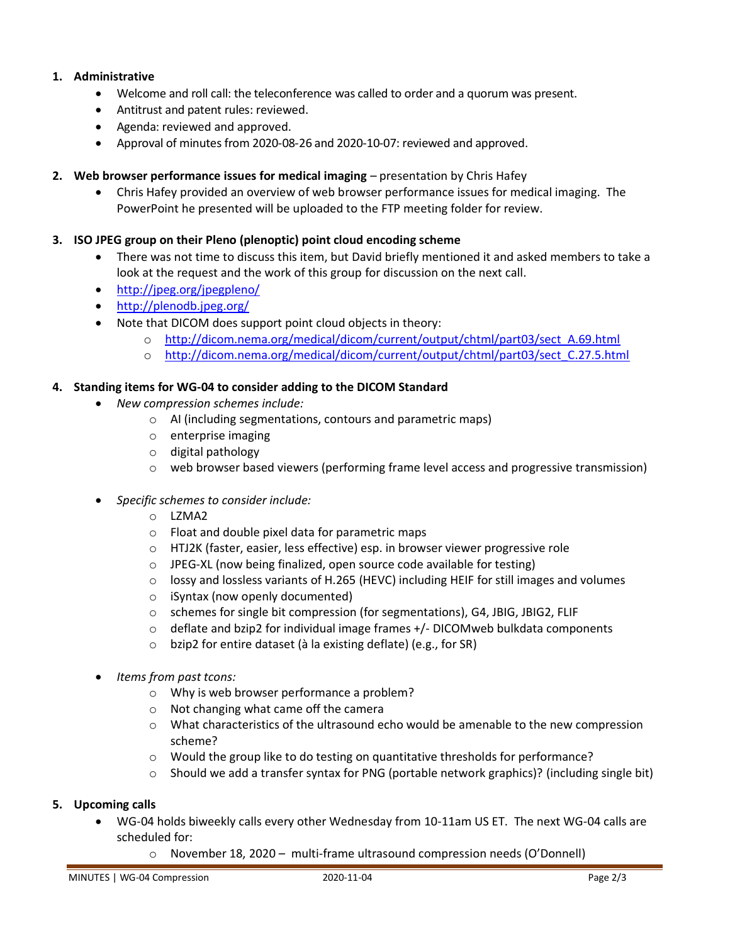# **1. Administrative**

- Welcome and roll call: the teleconference was called to order and a quorum was present.
- Antitrust and patent rules: reviewed.
- Agenda: reviewed and approved.
- Approval of minutes from 2020-08-26 and 2020-10-07: reviewed and approved.
- **2. Web browser performance issues for medical imaging**  presentation by Chris Hafey
	- Chris Hafey provided an overview of web browser performance issues for medical imaging. The PowerPoint he presented will be uploaded to the FTP meeting folder for review.

## **3. ISO JPEG group on their Pleno (plenoptic) point cloud encoding scheme**

- There was not time to discuss this item, but David briefly mentioned it and asked members to take a look at the request and the work of this group for discussion on the next call.
- <http://jpeg.org/jpegpleno/>
- <http://plenodb.jpeg.org/>
- Note that DICOM does support point cloud objects in theory:
	- o [http://dicom.nema.org/medical/dicom/current/output/chtml/part03/sect\\_A.69.html](http://dicom.nema.org/medical/dicom/current/output/chtml/part03/sect_A.69.html)
	- o [http://dicom.nema.org/medical/dicom/current/output/chtml/part03/sect\\_C.27.5.html](http://dicom.nema.org/medical/dicom/current/output/chtml/part03/sect_C.27.5.html)

## **4. Standing items for WG-04 to consider adding to the DICOM Standard**

- *New compression schemes include:*
	- o AI (including segmentations, contours and parametric maps)
	- o enterprise imaging
	- o digital pathology
	- $\circ$  web browser based viewers (performing frame level access and progressive transmission)
- *Specific schemes to consider include:*
	- o LZMA2
	- o Float and double pixel data for parametric maps
	- o HTJ2K (faster, easier, less effective) esp. in browser viewer progressive role
	- o JPEG-XL (now being finalized, open source code available for testing)
	- $\circ$  lossy and lossless variants of H.265 (HEVC) including HEIF for still images and volumes
	- o iSyntax (now openly documented)
	- o schemes for single bit compression (for segmentations), G4, JBIG, JBIG2, FLIF
	- $\circ$  deflate and bzip2 for individual image frames +/- DICOMweb bulkdata components
	- o bzip2 for entire dataset (à la existing deflate) (e.g., for SR)
- *Items from past tcons:*
	- o Why is web browser performance a problem?
	- o Not changing what came off the camera
	- $\circ$  What characteristics of the ultrasound echo would be amenable to the new compression scheme?
	- $\circ$  Would the group like to do testing on quantitative thresholds for performance?
	- $\circ$  Should we add a transfer syntax for PNG (portable network graphics)? (including single bit)

## **5. Upcoming calls**

- WG-04 holds biweekly calls every other Wednesday from 10-11am US ET. The next WG-04 calls are scheduled for:
	- o November 18, 2020 multi-frame ultrasound compression needs (O'Donnell)